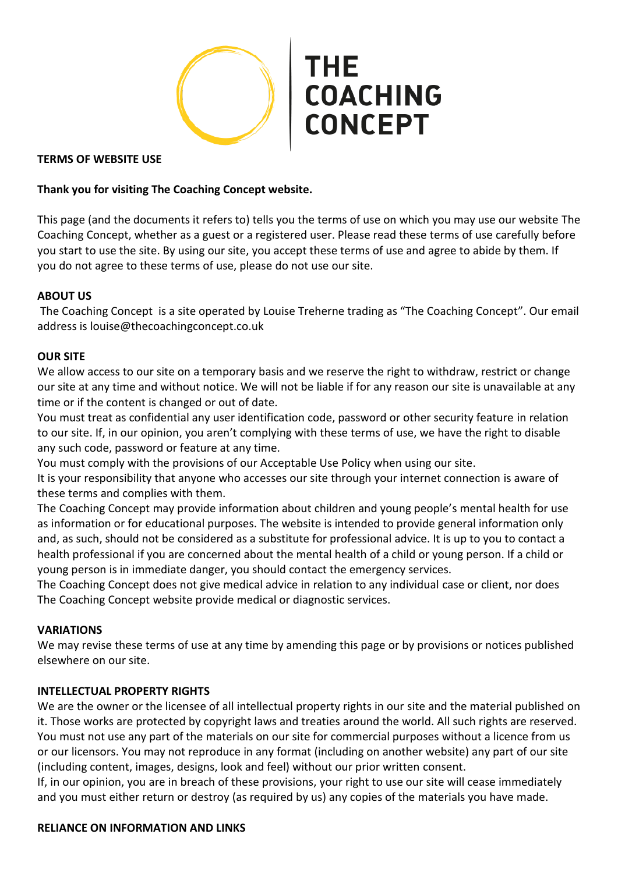THE **COACHING CONCEPT** 

### **TERMS OF WEBSITE USE**

## **Thank you for visiting The Coaching Concept website.**

This page (and the documents it refers to) tells you the terms of use on which you may use our website The Coaching Concept, whether as a guest or a registered user. Please read these terms of use carefully before you start to use the site. By using our site, you accept these terms of use and agree to abide by them. If you do not agree to these terms of use, please do not use our site.

### **ABOUT US**

The Coaching Concept is a site operated by Louise Treherne trading as "The Coaching Concept". Our email address is louise@thecoachingconcept.co.uk

### **OUR SITE**

We allow access to our site on a temporary basis and we reserve the right to withdraw, restrict or change our site at any time and without notice. We will not be liable if for any reason our site is unavailable at any time or if the content is changed or out of date.

You must treat as confidential any user identification code, password or other security feature in relation to our site. If, in our opinion, you aren't complying with these terms of use, we have the right to disable any such code, password or feature at any time.

You must comply with the provisions of our Acceptable Use Policy when using our site.

It is your responsibility that anyone who accesses our site through your internet connection is aware of these terms and complies with them.

The Coaching Concept may provide information about children and young people's mental health for use as information or for educational purposes. The website is intended to provide general information only and, as such, should not be considered as a substitute for professional advice. It is up to you to contact a health professional if you are concerned about the mental health of a child or young person. If a child or young person is in immediate danger, you should contact the emergency services.

The Coaching Concept does not give medical advice in relation to any individual case or client, nor does The Coaching Concept website provide medical or diagnostic services.

#### **VARIATIONS**

We may revise these terms of use at any time by amending this page or by provisions or notices published elsewhere on our site.

#### **INTELLECTUAL PROPERTY RIGHTS**

We are the owner or the licensee of all intellectual property rights in our site and the material published on it. Those works are protected by copyright laws and treaties around the world. All such rights are reserved. You must not use any part of the materials on our site for commercial purposes without a licence from us or our licensors. You may not reproduce in any format (including on another website) any part of our site (including content, images, designs, look and feel) without our prior written consent.

If, in our opinion, you are in breach of these provisions, your right to use our site will cease immediately and you must either return or destroy (as required by us) any copies of the materials you have made.

#### **RELIANCE ON INFORMATION AND LINKS**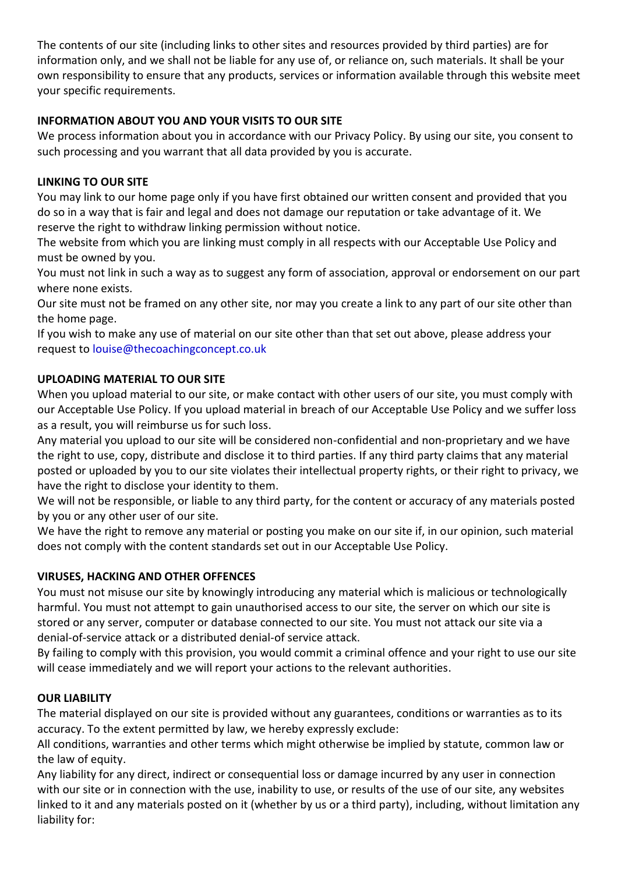The contents of our site (including links to other sites and resources provided by third parties) are for information only, and we shall not be liable for any use of, or reliance on, such materials. It shall be your own responsibility to ensure that any products, services or information available through this website meet your specific requirements.

# **INFORMATION ABOUT YOU AND YOUR VISITS TO OUR SITE**

We process information about you in accordance with our Privacy Policy. By using our site, you consent to such processing and you warrant that all data provided by you is accurate.

# **LINKING TO OUR SITE**

You may link to our home page only if you have first obtained our written consent and provided that you do so in a way that is fair and legal and does not damage our reputation or take advantage of it. We reserve the right to withdraw linking permission without notice.

The website from which you are linking must comply in all respects with our Acceptable Use Policy and must be owned by you.

You must not link in such a way as to suggest any form of association, approval or endorsement on our part where none exists.

Our site must not be framed on any other site, nor may you create a link to any part of our site other than the home page.

If you wish to make any use of material on our site other than that set out above, please address your request to [louise@thecoachingconcept.co.uk](mailto:louise@thecoachingconcept.co.uk)

## **UPLOADING MATERIAL TO OUR SITE**

When you upload material to our site, or make contact with other users of our site, you must comply with our Acceptable Use Policy. If you upload material in breach of our Acceptable Use Policy and we suffer loss as a result, you will reimburse us for such loss.

Any material you upload to our site will be considered non-confidential and non-proprietary and we have the right to use, copy, distribute and disclose it to third parties. If any third party claims that any material posted or uploaded by you to our site violates their intellectual property rights, or their right to privacy, we have the right to disclose your identity to them.

We will not be responsible, or liable to any third party, for the content or accuracy of any materials posted by you or any other user of our site.

We have the right to remove any material or posting you make on our site if, in our opinion, such material does not comply with the content standards set out in our Acceptable Use Policy.

# **VIRUSES, HACKING AND OTHER OFFENCES**

You must not misuse our site by knowingly introducing any material which is malicious or technologically harmful. You must not attempt to gain unauthorised access to our site, the server on which our site is stored or any server, computer or database connected to our site. You must not attack our site via a denial-of-service attack or a distributed denial-of service attack.

By failing to comply with this provision, you would commit a criminal offence and your right to use our site will cease immediately and we will report your actions to the relevant authorities.

## **OUR LIABILITY**

The material displayed on our site is provided without any guarantees, conditions or warranties as to its accuracy. To the extent permitted by law, we hereby expressly exclude:

All conditions, warranties and other terms which might otherwise be implied by statute, common law or the law of equity.

Any liability for any direct, indirect or consequential loss or damage incurred by any user in connection with our site or in connection with the use, inability to use, or results of the use of our site, any websites linked to it and any materials posted on it (whether by us or a third party), including, without limitation any liability for: